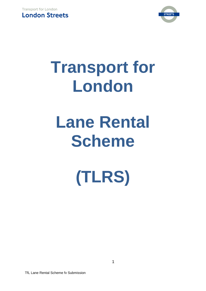



# **Transport for London**

# **Lane Rental Scheme**

**(TLRS)**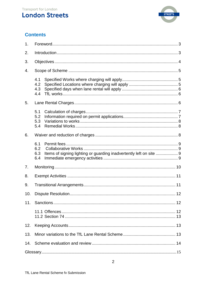# **London Streets**



# **Contents**

| 1.  |                                                                                                 |  |  |
|-----|-------------------------------------------------------------------------------------------------|--|--|
| 2.  |                                                                                                 |  |  |
| 3.  |                                                                                                 |  |  |
| 4.  |                                                                                                 |  |  |
|     | 4.1<br>4.2<br>4.3<br>4.4                                                                        |  |  |
| 5.  |                                                                                                 |  |  |
|     | 5.1<br>5.2<br>5.3<br>5.4                                                                        |  |  |
| 6.  |                                                                                                 |  |  |
|     | 6.1<br>6.2<br>6.3<br>Items of signing lighting or guarding inadvertently left on site  9<br>6.4 |  |  |
| 7.  |                                                                                                 |  |  |
| 8.  |                                                                                                 |  |  |
| 9.  |                                                                                                 |  |  |
| 10. |                                                                                                 |  |  |
| 11. |                                                                                                 |  |  |
|     |                                                                                                 |  |  |
| 12. |                                                                                                 |  |  |
| 13. |                                                                                                 |  |  |
| 14. |                                                                                                 |  |  |
|     |                                                                                                 |  |  |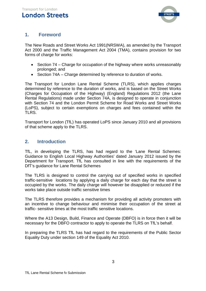

# <span id="page-2-0"></span>**1. Foreword**

The New Roads and Street Works Act 1991(NRSWA), as amended by the Transport Act 2000 and the Traffic Management Act 2004 (TMA), contains provision for two forms of charge for works:

- Section 74 Charge for occupation of the highway where works unreasonably prolonged; and
- Section 74A Charge determined by reference to duration of works.

The Transport for London Lane Rental Scheme (TLRS), which applies charges determined by reference to the duration of works, and is based on the Street Works (Charges for Occupation of the Highway) (England) Regulations 2012 (the Lane Rental Regulations) made under Section 74A, is designed to operate in conjunction with Section 74 and the London Permit Scheme for Road Works and Street Works (LoPS), subject to certain exemptions on charges and fees contained within the TLRS.

Transport for London (TfL) has operated LoPS since January 2010 and all provisions of that scheme apply to the TLRS.

# <span id="page-2-1"></span>**2. Introduction**

TfL, in developing the TLRS, has had regard to the 'Lane Rental Schemes: Guidance to English Local Highway Authorities' dated January 2012 issued by the Department for Transport. TfL has consulted in line with the requirements of the DfT's guidance for Lane Rental Schemes

The TLRS is designed to control the carrying out of specified works in specified traffic-sensitive locations by applying a daily charge for each day that the street is occupied by the works. The daily charge will however be disapplied or reduced if the works take place outside traffic sensitive times

The TLRS therefore provides a mechanism for providing all activity promoters with an incentive to change behaviour and minimise their occupation of the street at traffic- sensitive times at the most traffic sensitive locations.

Where the A13 Design, Build, Finance and Operate (DBFO) is in force then it will be necessary for the DBFO contractor to apply to operate the TLRS on TfL's behalf.

In preparing the TLRS TfL has had regard to the requirements of the Public Sector Equality Duty under section 149 of the Equality Act 2010.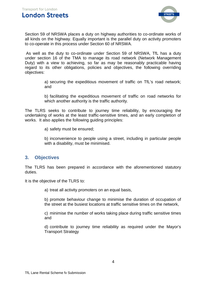

Section 59 of NRSWA places a duty on highway authorities to co-ordinate works of all kinds on the highway. Equally important is the parallel duty on activity promoters to co-operate in this process under Section 60 of NRSWA.

As well as the duty to co-ordinate under Section 59 of NRSWA, TfL has a duty under section 16 of the TMA to manage its road network (Network Management Duty) with a view to achieving, so far as may be reasonably practicable having regard to its other obligations, policies and objectives, the following overriding objectives:

> a) securing the expeditious movement of traffic on TfL's road network; and

> b) facilitating the expeditious movement of traffic on road networks for which another authority is the traffic authority.

The TLRS seeks to contribute to journey time reliability, by encouraging the undertaking of works at the least traffic-sensitive times, and an early completion of works. It also applies the following guiding principles:

a) safety must be ensured;

b) inconvenience to people using a street, including in particular people with a disability, must be minimised.

#### <span id="page-3-0"></span>**3. Objectives**

The TLRS has been prepared in accordance with the aforementioned statutory duties.

It is the objective of the TLRS to:

a) treat all activity promoters on an equal basis,

b) promote behaviour change to minimise the duration of occupation of the street at the busiest locations at traffic sensitive times on the network,

c) minimise the number of works taking place during traffic sensitive times and

d) contribute to journey time reliability as required under the Mayor's Transport Strategy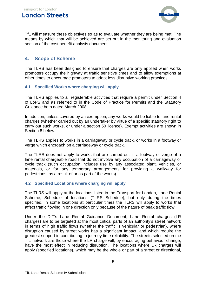

TfL will measure these objectives so as to evaluate whether they are being met. The means by which that will be achieved are set out in the monitoring and evaluation section of the cost benefit analysis document.

### <span id="page-4-0"></span>**4. Scope of Scheme**

The TLRS has been designed to ensure that charges are only applied when works promoters occupy the highway at traffic sensitive times and to allow exemptions at other times to encourage promoters to adopt less disruptive working practices.

#### <span id="page-4-1"></span>**4.1 Specified Works where charging will apply**

The TLRS applies to all registerable activities that require a permit under Section 4 of LoPS and as referred to in the Code of Practice for Permits and the Statutory Guidance both dated March 2008.

In addition, unless covered by an exemption, any works would be liable to lane rental charges (whether carried out by an undertaker by virtue of a specific statutory right to carry out such works, or under a section 50 licence). Exempt activities are shown in Section 8 below.

The TLRS applies to works in a carriageway or cycle track, or works in a footway or verge which encroach on a carriageway or cycle track.

The TLRS does not apply to works that are carried out in a footway or verge of a lane rental chargeable road that do not involve any occupation of a carriageway or cycle track (such occupation includes use by any associated plant, vehicles, or materials, or for any temporary arrangements for providing a walkway for pedestrians, as a result of or as part of the works).

#### <span id="page-4-2"></span>**4.2 Specified Locations where charging will apply**

The TLRS will apply at the locations listed in the Transport for London, Lane Rental Scheme, Schedule of locations (TLRS Schedule), but only during the times specified. In some locations at particular times the TLRS will apply to works that affect traffic flowing in one direction only because of the nature of peak traffic flow.

Under the DfT's Lane Rental Guidance Document, Lane Rental charges (LR charges) are to be targeted at the most critical parts of an authority's street network in terms of high traffic flows (whether the traffic is vehicular or pedestrian), where disruption caused by street works has a significant impact, and which require the greatest support in contributing to journey time reliability. The streets selected on the TfL network are those where the LR charge will, by encouraging behaviour change, have the most effect in reducing disruption. The locations where LR charges will apply (specified locations), which may be the whole or part of a street or directional,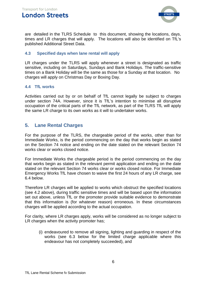

are detailed in the TLRS Schedule to this document, showing the locations, days, times and LR charges that will apply. The locations will also be identified on TfL's published Additional Street Data.

#### <span id="page-5-0"></span>**4.3 Specified days when lane rental will apply**

LR charges under the TLRS will apply whenever a street is designated as traffic sensitive, including on Saturdays, Sundays and Bank Holidays. The traffic-sensitive times on a Bank Holiday will be the same as those for a Sunday at that location. No charges will apply on Christmas Day or Boxing Day.

#### <span id="page-5-1"></span>**4.4 TfL works**

Activities carried out by or on behalf of TfL cannot legally be subject to charges under section 74A. However, since it is TfL's intention to minimise all disruptive occupation of the critical parts of the TfL network, as part of the TLRS TfL will apply the same LR charge to its own works as it will to undertaker works.

## <span id="page-5-2"></span>**5. Lane Rental Charges**

For the purpose of the TLRS, the chargeable period of the works, other than for Immediate Works, is the period commencing on the day that works begin as stated on the Section 74 notice and ending on the date stated on the relevant Section 74 works clear or works closed notice.

For Immediate Works the chargeable period is the period commencing on the day that works begin as stated in the relevant permit application and ending on the date stated on the relevant Section 74 works clear or works closed notice. For Immediate Emergency Works TfL have chosen to waive the first 24 hours of any LR charge, see 6.4 below.

Therefore LR charges will be applied to works which obstruct the specified locations (see 4.2 above), during traffic sensitive times and will be based upon the information set out above, unless TfL or the promoter provide suitable evidence to demonstrate that this information is (for whatever reason) erroneous. In these circumstances charges will be applied according to the actual occupation.

For clarity, where LR charges apply, works will be considered as no longer subject to LR charges when the activity promoter has;

(i) endeavoured to remove all signing, lighting and guarding in respect of the works (see 6.3 below for the limited charge applicable where this endeavour has not completely succeeded), and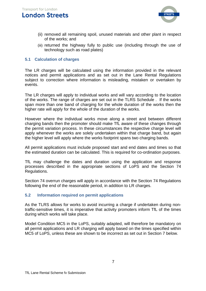

- (ii) removed all remaining spoil, unused materials and other plant in respect of the works; and
- (iii) returned the highway fully to public use (including through the use of technology such as road plates)

#### <span id="page-6-0"></span>**5.1 Calculation of charges**

The LR charges will be calculated using the information provided in the relevant notices and permit applications and as set out in the Lane Rental Regulations subject to correction where information is misleading, mistaken or overtaken by events.

The LR charges will apply to individual works and will vary according to the location of the works. The range of charges are set out in the TLRS Schedule . If the works span more than one band of charging for the whole duration of the works then the higher rate will apply for the whole of the duration of the works.

However where the individual works move along a street and between different charging bands then the promoter should make TfL aware of these changes through the permit variation process. In these circumstances the respective charge level will apply whenever the works are solely undertaken within that charge band, but again the higher level will apply where the works footprint spans two charging bands.

All permit applications must include proposed start and end dates and times so that the estimated duration can be calculated. This is required for co-ordination purposes.

TfL may challenge the dates and duration using the application and response processes described in the appropriate sections of LoPS and the Section 74 Regulations.

Section 74 overrun charges will apply in accordance with the Section 74 Regulations following the end of the reasonable period, in addition to LR charges.

#### <span id="page-6-1"></span>**5.2 Information required on permit applications**

As the TLRS allows for works to avoid incurring a charge if undertaken during nontraffic-sensitive times, it is imperative that activity promoters inform TfL of the times during which works will take place.

Model Condition MC5 in the LoPS, suitably adapted, will therefore be mandatory on all permit applications and LR charging will apply based on the times specified within MC5 of LoPS, unless these are shown to be incorrect as set out in Section 7 below.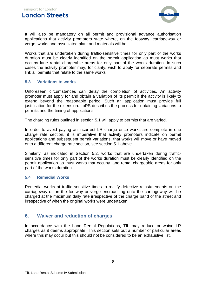

It will also be mandatory on all permit and provisional advance authorisation applications that activity promoters state where, on the footway, carriageway or verge, works and associated plant and materials will be.

Works that are undertaken during traffic-sensitive times for only part of the works duration must be clearly identified on the permit application as must works that occupy lane rental chargeable areas for only part of the works duration. In such cases the activity promoter may, for clarity, wish to apply for separate permits and link all permits that relate to the same works

#### <span id="page-7-0"></span>**5.3 Variations to works**

Unforeseen circumstances can delay the completion of activities. An activity promoter must apply for and obtain a variation of its permit if the activity is likely to extend beyond the reasonable period. Such an application must provide full justification for the extension. LoPS describes the process for obtaining variations to permits and the timing of applications.

The charging rules outlined in section 5.1 will apply to permits that are varied.

In order to avoid paying an incorrect LR charge once works are complete in one charge rate section, it is imperative that activity promoters indicate on permit applications and subsequent permit variations, that works will move or have moved onto a different charge rate section, see section 5.1 above.

Similarly, as indicated in Section 5.2, works that are undertaken during trafficsensitive times for only part of the works duration must be clearly identified on the permit application as must works that occupy lane rental chargeable areas for only part of the works duration.

#### <span id="page-7-1"></span>**5.4 Remedial Works**

Remedial works at traffic sensitive times to rectify defective reinstatements on the carriageway or on the footway or verge encroaching onto the carriageway will be charged at the maximum daily rate irrespective of the charge band of the street and irrespective of when the original works were undertaken.

#### <span id="page-7-2"></span>**6. Waiver and reduction of charges**

In accordance with the Lane Rental Regulations, TfL may reduce or waive LR charges as it deems appropriate. This section sets out a number of particular areas where this may occur but this should not be considered to be an exhaustive list.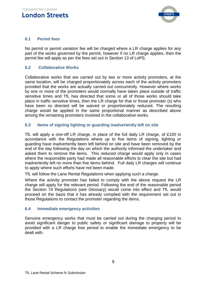

#### <span id="page-8-0"></span>**6.1 Permit fees**

No permit or permit variation fee will be charged where a LR charge applies for any part of the works governed by the permit, however if no LR charge applies, then the permit fee will apply as per the fees set out in Section 13 of LoPS.

#### <span id="page-8-1"></span>**6.2 Collaborative Works**

Collaborative works that are carried out by two or more activity promoters, at the same location, will be charged proportionately across each of the activity promoters provided that the works are actually carried out concurrently. However where works by one or more of the promoters would normally have taken place outside of traffic sensitive times and TfL has directed that some or all of those works should take place in traffic sensitive times, then the LR charge for that or those promoter (s) who have been so directed will be waived or proportionately reduced. The resulting charge would be applied in the same proportional manner as described above among the remaining promoters involved in the collaborative works.

#### <span id="page-8-2"></span>**6.3 Items of signing lighting or guarding inadvertently left on site**

TfL will apply a one-off LR charge, in place of the full daily LR charge, of £100 in accordance with the Regulations where up to five items of signing, lighting or guarding have inadvertently been left behind on site and have been removed by the end of the day following the day on which the authority informed the undertaker and asked them to remove the items. This reduced charge would apply only in cases where the responsible party had made all reasonable efforts to clear the site but had inadvertently left no more than five items behind. Full daily LR charges will continue to apply where such efforts have not been made.

TfL will follow the Lane Rental Regulations when applying such a charge.

Where the activity promoter has failed to comply with the above request the LR charge will apply for the relevant period. Following the end of the reasonable period the Section 74 Regulations (see Glossary) would come into effect and TfL would proceed on the basis that it has already complied with the requirement set out in those Regulations to contact the promoter regarding the items.

#### <span id="page-8-3"></span>**6.4 Immediate emergency activities**

Genuine emergency works that must be carried out during the charging period to avoid significant danger to public safety or significant damage to property will be provided with a LR charge free period to enable the immediate emergency to be dealt with.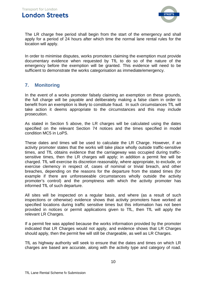

The LR charge free period shall begin from the start of the emergency and shall apply for a period of 24 hours after which time the normal lane rental rules for the location will apply.

In order to minimise disputes, works promoters claiming the exemption must provide documentary evidence when requested by TfL to do so of the nature of the emergency before the exemption will be granted. This evidence will need to be sufficient to demonstrate the works categorisation as immediate/emergency.

# <span id="page-9-0"></span>**7. Monitoring**

In the event of a works promoter falsely claiming an exemption on these grounds, the full charge will be payable and deliberately making a false claim in order to benefit from an exemption is likely to constitute fraud. In such circumstances TfL will take action it deems appropriate to the circumstances and this may include prosecution.

As stated in Section 5 above, the LR charges will be calculated using the dates specified on the relevant Section 74 notices and the times specified in model condition MC5 in LoPS.

These dates and times will be used to calculate the LR Charge. However, if an activity promoter states that the works will take place wholly outside traffic-sensitive times, and TfL obtains evidence that the carriageway was occupied during trafficsensitive times, then the LR charges will apply; in addition a permit fee will be charged. TfL will exercise its discretion reasonably, where appropriate, to exclude, or exercise clemency in respect of, cases of nominal or trivial breach, and other breaches, depending on the reasons for the departure from the stated times (for example if there are unforeseeable circumstances wholly outside the activity promoter's control) and the promptness with which the activity promoter has informed TfL of such departure.

All sites will be inspected on a regular basis, and where (as a result of such inspections or otherwise) evidence shows that activity promoters have worked at specified locations during traffic sensitive times but this information has not been provided in notices or permit applications given to TfL, then TfL will apply the relevant LR Charges.

If a permit fee was applied because the works information provided by the promoter indicated that LR Charges would not apply, and evidence shows that LR Charges should apply, then the permit fee will still be chargeable, as well as LR Charges.

TfL as highway authority will seek to ensure that the dates and times on which LR charges are based are accurate, along with the activity type and category of road.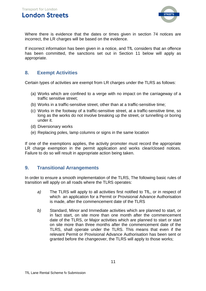

Where there is evidence that the dates or times given in section 74 notices are incorrect, the LR charges will be based on the evidence.

If incorrect information has been given in a notice, and TfL considers that an offence has been committed, the sanctions set out in Section 11 below will apply as appropriate.

## <span id="page-10-0"></span>**8. Exempt Activities**

Certain types of activities are exempt from LR charges under the TLRS as follows:

- (a) Works which are confined to a verge with no impact on the carriageway of a traffic sensitive street;
- (b) Works in a traffic-sensitive street, other than at a traffic-sensitive time;
- (c) Works in the footway of a traffic-sensitive street, at a traffic-sensitive time, so long as the works do not involve breaking up the street, or tunnelling or boring under it.
- (d) Diversionary works
- (e) Replacing poles, lamp columns or signs in the same location

If one of the exemptions applies, the activity promoter must record the appropriate LR charge exemption in the permit application and works clear/closed notices. Failure to do so will result in appropriate action being taken.

#### <span id="page-10-1"></span>**9. Transitional Arrangements**

In order to ensure a smooth implementation of the TLRS, The following basic rules of transition will apply on all roads where the TLRS operates:

- *a)* The TLRS will apply to all activities first notified to TfL, or in respect of which an application for a Permit or Provisional Advance Authorisation is made, after the commencement date of the TLRS
- *b)* Standard, Minor and Immediate activities which are planned to start, or in fact start, on site more than one month after the commencement date of the TLRS, or Major activities which are planned to start or start on site more than three months after the commencement date of the TLRS, shall operate under the TLRS. This means that even if the relevant Permit or Provisional Advance Authorisation has been sent or granted before the changeover, the TLRS will apply to those works;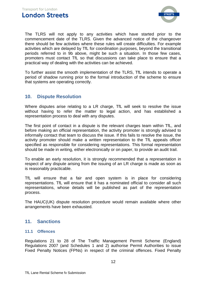

The TLRS will not apply to any activities which have started prior to the commencement date of the TLRS. Given the advanced notice of the changeover there should be few activities where these rules will create difficulties. For example activities which are delayed by TfL for coordination purposes, beyond the transitional periods referred to in 9b above, might be such a situation. In those few cases, promoters must contact TfL so that discussions can take place to ensure that a practical way of dealing with the activities can be achieved.

To further assist the smooth implementation of the TLRS, TfL intends to operate a period of shadow running prior to the formal introduction of the scheme to ensure that systems are operating correctly.

## <span id="page-11-0"></span>**10. Dispute Resolution**

Where disputes arise relating to a LR charge, TfL will seek to resolve the issue without having to refer the matter to legal action, and has established a representation process to deal with any disputes.

The first point of contact in a dispute is the relevant charges team within TfL, and before making an official representation, the activity promoter is strongly advised to informally contact that team to discuss the issue. If this fails to resolve the issue, the activity promoter should make a written representation to the TfL appeals officer specified as responsible for considering representations. This formal representation should be made in writing, either electronically or on paper, to provide an audit trail.

To enable an early resolution, it is strongly recommended that a representation in respect of any dispute arising from the issuing of an LR charge is made as soon as is reasonably practicable.

TfL will ensure that a fair and open system is in place for considering representations. TfL will ensure that it has a nominated official to consider all such representations, whose details will be published as part of the representation process.

The HAUC(UK) dispute resolution procedure would remain available where other arrangements have been exhausted.

#### <span id="page-11-1"></span>**11. Sanctions**

#### <span id="page-11-2"></span>**11.1 Offences**

Regulations 21 to 28 of The Traffic Management Permit Scheme (England) Regulations 2007 (and Schedules 1 and 2) authorise Permit Authorities to issue Fixed Penalty Notices (FPNs) in respect of the criminal offences. Fixed Penalty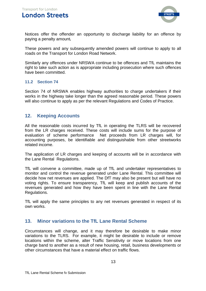

Notices offer the offender an opportunity to discharge liability for an offence by paying a penalty amount*.*

These powers and any subsequently amended powers will continue to apply to all roads on the Transport for London Road Network.

Similarly any offences under NRSWA continue to be offences and TfL maintains the right to take such action as is appropriate including prosecution where such offences have been committed.

#### <span id="page-12-0"></span>**11.2 Section 74**

Section 74 of NRSWA enables highway authorities to charge undertakers if their works in the highway take longer than the agreed reasonable period. These powers will also continue to apply as per the relevant Regulations and Codes of Practice.

#### <span id="page-12-1"></span>**12. Keeping Accounts**

All the reasonable costs incurred by TfL in operating the TLRS will be recovered from the LR charges received. These costs will include sums for the purpose of evaluation of scheme performance Net proceeds from LR charges will, for accounting purposes, be identifiable and distinguishable from other streetworks related income.

The application of LR charges and keeping of accounts will be in accordance with the Lane Rental Regulations.

TfL will convene a committee, made up of TfL and undertaker representatives to monitor and control the revenue generated under Lane Rental. This committee will decide how net revenues are applied. The DfT may also be present but will have no voting rights. To ensure transparency, TfL will keep and publish accounts of the revenues generated and how they have been spent in line with the Lane Rental Regulations.

TfL will apply the same principles to any net revenues generated in respect of its own works.

#### <span id="page-12-2"></span>**13. Minor variations to the TfL Lane Rental Scheme**

Circumstances will change, and it may therefore be desirable to make minor variations to the TLRS. For example, it might be desirable to include or remove locations within the scheme, alter Traffic Sensitivity or move locations from one charge band to another as a result of new housing, retail, business developments or other circumstances that have a material effect on traffic flows.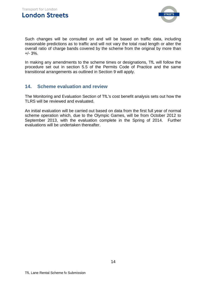

Such changes will be consulted on and will be based on traffic data, including reasonable predictions as to traffic and will not vary the total road length or alter the overall ratio of charge bands covered by the scheme from the original by more than  $+/- 3\%$ .

In making any amendments to the scheme times or designations, TfL will follow the procedure set out in section 5.5 of the Permits Code of Practice and the same transitional arrangements as outlined in Section 9 will apply.

## <span id="page-13-0"></span>**14. Scheme evaluation and review**

The Monitoring and Evaluation Section of TfL's cost benefit analysis sets out how the TLRS will be reviewed and evaluated.

An initial evaluation will be carried out based on data from the first full year of normal scheme operation which, due to the Olympic Games, will be from October 2012 to September 2013, with the evaluation complete in the Spring of 2014. Further evaluations will be undertaken thereafter.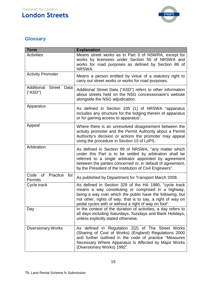

# <span id="page-14-0"></span>**Glossary**

| <b>Term</b>                                            | <b>Explanation</b>                                                                                                                                                                                                                                                                                   |
|--------------------------------------------------------|------------------------------------------------------------------------------------------------------------------------------------------------------------------------------------------------------------------------------------------------------------------------------------------------------|
| <b>Activities</b>                                      | Means street works as in Part 3 of NSWRA, except for<br>works by licensees under Section 50 of NRSWA and<br>works for road purposes as defined by Section 86 of<br>NRSWA.                                                                                                                            |
| <b>Activity Promoter</b>                               | Means a person entitled by virtue of a statutory right to<br>carry out street works or works for road purposes.                                                                                                                                                                                      |
| Additional<br><b>Street</b><br>Data<br>("ASD")         | Additional Street Data ("ASD") refers to other information<br>about streets held on the NSG concessionaire's website<br>alongside the NSG adjudication.                                                                                                                                              |
| Apparatus                                              | As defined in Section 105 (1) of NRSWA "apparatus<br>includes any structure for the lodging therein of apparatus<br>or for gaining access to apparatus".                                                                                                                                             |
| Appeal                                                 | Where there is an unresolved disagreement between the<br>activity promoter and the Permit Authority about a Permit<br>Authority's decision or actions the promoter may appeal<br>using the procedure in Section 15 of LoPS.                                                                          |
| Arbitration                                            | As defined in Section 99 of NRSWA, "any matter which<br>under this Part is to be settled by arbitration shall be<br>referred to a single arbitrator appointed by agreement<br>between the parties concerned or, in default of agreement,<br>by the President of the Institution of Civil Engineers". |
| Code<br>Practice<br><b>of</b><br>for<br><b>Permits</b> | As published by Department for Transport March 2008.                                                                                                                                                                                                                                                 |
| Cycle track                                            | As defined in Section 329 of the HA 1980, "cycle track<br>means a way constituting or comprised in a highway,<br>being a way over which the public have the following, but<br>not other, rights of way, that is to say, a right of way on<br>pedal cycles with or without a right of way on foot".   |
| Day                                                    | In the context of the duration of activities, a day refers to<br>all days including Saturdays, Sundays and Bank Holidays,<br>unless explicitly stated otherwise.                                                                                                                                     |
| <b>Diversionary Works</b>                              | As defined in Regulation 2(2) of The Street Works<br>(Sharing of Cost of Works) (England) Regulations 2000<br>and further outlined in the code of practice "Measures<br>Necessary Where Apparatus Is Affected by Major Works<br>(Diversionary Works) 1992".                                          |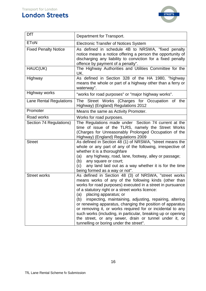# **London Streets**



| <b>DfT</b>                     | Department for Transport.                                                                                                                                                                                                                                                                                                                                                                                                                                                                                                                                                                                                        |
|--------------------------------|----------------------------------------------------------------------------------------------------------------------------------------------------------------------------------------------------------------------------------------------------------------------------------------------------------------------------------------------------------------------------------------------------------------------------------------------------------------------------------------------------------------------------------------------------------------------------------------------------------------------------------|
| <b>EToN</b>                    | <b>Electronic Transfer of Notices System</b>                                                                                                                                                                                                                                                                                                                                                                                                                                                                                                                                                                                     |
| <b>Fixed Penalty Notice</b>    | As defined in schedule 4B to NRSWA, "fixed penalty<br>notice means a notice offering a person the opportunity of<br>discharging any liability to conviction for a fixed penalty<br>offence by payment of a penalty".                                                                                                                                                                                                                                                                                                                                                                                                             |
| HAUC(UK)                       | The Highway Authorities and Utilities Committee for the<br>UK.                                                                                                                                                                                                                                                                                                                                                                                                                                                                                                                                                                   |
| Highway                        | As defined in Section 328 of the HA 1980, "highway<br>means the whole or part of a highway other than a ferry or<br>waterway".                                                                                                                                                                                                                                                                                                                                                                                                                                                                                                   |
| Highway works                  | "works for road purposes" or "major highway works".                                                                                                                                                                                                                                                                                                                                                                                                                                                                                                                                                                              |
| <b>Lane Rental Regulations</b> | The Street Works (Charges for Occupation of the<br>Highway) (England) Regulations 2012                                                                                                                                                                                                                                                                                                                                                                                                                                                                                                                                           |
| Promoter                       | Means the same as Activity Promoter.                                                                                                                                                                                                                                                                                                                                                                                                                                                                                                                                                                                             |
| Road works                     | Works for road purposes.                                                                                                                                                                                                                                                                                                                                                                                                                                                                                                                                                                                                         |
| Section 74 Regulations)        | The Regulations made under Section 74 current at the<br>time of issue of the TLRS, namely the Street Works<br>(Charges for Unreasonably Prolonged Occupation of the<br>Highway) (England) Regulations 2009                                                                                                                                                                                                                                                                                                                                                                                                                       |
| <b>Street</b>                  | As defined in Section 48 (1) of NRSWA, "street means the<br>whole or any part of any of the following, irrespective of<br>whether it is a thoroughfare<br>any highway, road, lane, footway, alley or passage;<br>(a)<br>any square or court;<br>(b)<br>any land laid out as a way whether it is for the time<br>(c)<br>being formed as a way or not".                                                                                                                                                                                                                                                                            |
| <b>Street works</b>            | As defined in Section 48 (3) of NRSWA, "street works<br>means works of any of the following kinds (other than<br>works for road purposes) executed in a street in pursuance<br>of a statutory right or a street works licence:<br>placing apparatus; or<br>(a)<br>inspecting, maintaining, adjusting, repairing, altering<br>(b)<br>or renewing apparatus, changing the position of apparatus<br>or removing it, or works required for or incidental to any<br>such works (including, in particular, breaking up or opening<br>the street, or any sewer, drain or tunnel under it, or<br>tunnelling or boring under the street". |